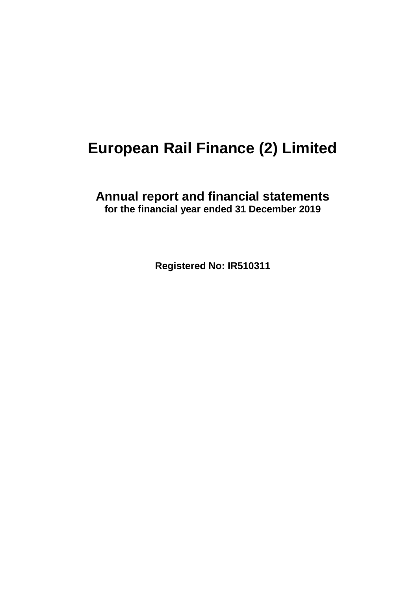# **European Rail Finance (2) Limited**

## **Annual report and financial statements for the financial year ended 31 December 2019**

**Registered No: IR510311**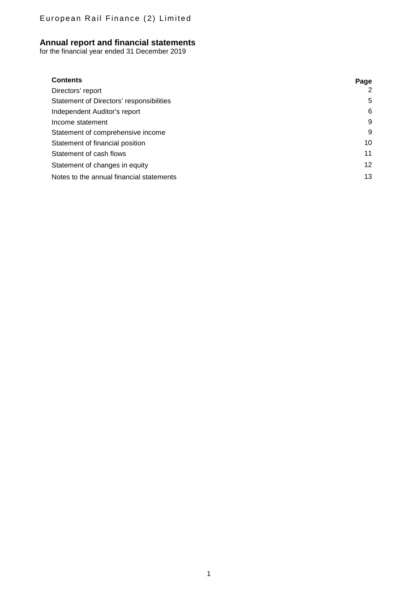## **Annual report and financial statements**

for the financial year ended 31 December 2019

| <b>Contents</b>                          | Page |
|------------------------------------------|------|
| Directors' report                        |      |
| Statement of Directors' responsibilities | 5    |
| Independent Auditor's report             | 6    |
| Income statement                         | 9    |
| Statement of comprehensive income        | 9    |
| Statement of financial position          | 10   |
| Statement of cash flows                  | 11   |
| Statement of changes in equity           | 12   |
| Notes to the annual financial statements | 13   |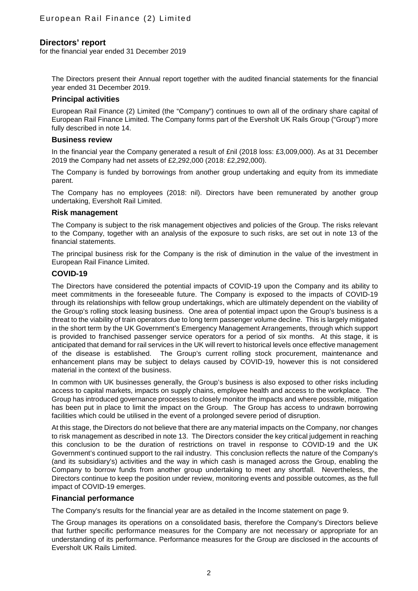## **Directors' report**

for the financial year ended 31 December 2019

The Directors present their Annual report together with the audited financial statements for the financial year ended 31 December 2019.

## **Principal activities**

European Rail Finance (2) Limited (the "Company") continues to own all of the ordinary share capital of European Rail Finance Limited. The Company forms part of the Eversholt UK Rails Group ("Group") more fully described in note 14.

#### **Business review**

In the financial year the Company generated a result of £nil (2018 loss: £3,009,000). As at 31 December 2019 the Company had net assets of £2,292,000 (2018: £2,292,000).

The Company is funded by borrowings from another group undertaking and equity from its immediate parent.

The Company has no employees (2018: nil). Directors have been remunerated by another group undertaking, Eversholt Rail Limited.

## **Risk management**

The Company is subject to the risk management objectives and policies of the Group. The risks relevant to the Company, together with an analysis of the exposure to such risks, are set out in note 13 of the financial statements.

The principal business risk for the Company is the risk of diminution in the value of the investment in European Rail Finance Limited.

#### **COVID-19**

The Directors have considered the potential impacts of COVID-19 upon the Company and its ability to meet commitments in the foreseeable future. The Company is exposed to the impacts of COVID-19 through its relationships with fellow group undertakings, which are ultimately dependent on the viability of the Group's rolling stock leasing business. One area of potential impact upon the Group's business is a threat to the viability of train operators due to long term passenger volume decline. This is largely mitigated in the short term by the UK Government's Emergency Management Arrangements, through which support is provided to franchised passenger service operators for a period of six months. At this stage, it is anticipated that demand for rail services in the UK will revert to historical levels once effective management of the disease is established. The Group's current rolling stock procurement, maintenance and enhancement plans may be subject to delays caused by COVID-19, however this is not considered material in the context of the business.

In common with UK businesses generally, the Group's business is also exposed to other risks including access to capital markets, impacts on supply chains, employee health and access to the workplace. The Group has introduced governance processes to closely monitor the impacts and where possible, mitigation has been put in place to limit the impact on the Group. The Group has access to undrawn borrowing facilities which could be utilised in the event of a prolonged severe period of disruption.

At this stage, the Directors do not believe that there are any material impacts on the Company, nor changes to risk management as described in note 13. The Directors consider the key critical judgement in reaching this conclusion to be the duration of restrictions on travel in response to COVID-19 and the UK Government's continued support to the rail industry. This conclusion reflects the nature of the Company's (and its subsidiary's) activities and the way in which cash is managed across the Group, enabling the Company to borrow funds from another group undertaking to meet any shortfall. Nevertheless, the Directors continue to keep the position under review, monitoring events and possible outcomes, as the full impact of COVID-19 emerges.

## **Financial performance**

The Company's results for the financial year are as detailed in the Income statement on page 9.

The Group manages its operations on a consolidated basis, therefore the Company's Directors believe that further specific performance measures for the Company are not necessary or appropriate for an understanding of its performance. Performance measures for the Group are disclosed in the accounts of Eversholt UK Rails Limited.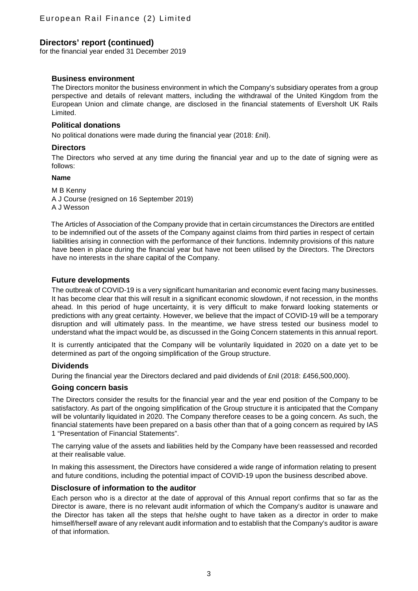## **Directors' report (continued)**

for the financial year ended 31 December 2019

## **Business environment**

The Directors monitor the business environment in which the Company's subsidiary operates from a group perspective and details of relevant matters, including the withdrawal of the United Kingdom from the European Union and climate change, are disclosed in the financial statements of Eversholt UK Rails Limited.

#### **Political donations**

No political donations were made during the financial year (2018: £nil).

#### **Directors**

The Directors who served at any time during the financial year and up to the date of signing were as follows:

#### **Name**

M B Kenny A J Course (resigned on 16 September 2019) A J Wesson

The Articles of Association of the Company provide that in certain circumstances the Directors are entitled to be indemnified out of the assets of the Company against claims from third parties in respect of certain liabilities arising in connection with the performance of their functions. Indemnity provisions of this nature have been in place during the financial year but have not been utilised by the Directors. The Directors have no interests in the share capital of the Company.

## **Future developments**

The outbreak of COVID-19 is a very significant humanitarian and economic event facing many businesses. It has become clear that this will result in a significant economic slowdown, if not recession, in the months ahead. In this period of huge uncertainty, it is very difficult to make forward looking statements or predictions with any great certainty. However, we believe that the impact of COVID-19 will be a temporary disruption and will ultimately pass. In the meantime, we have stress tested our business model to understand what the impact would be, as discussed in the Going Concern statements in this annual report.

It is currently anticipated that the Company will be voluntarily liquidated in 2020 on a date yet to be determined as part of the ongoing simplification of the Group structure.

## **Dividends**

During the financial year the Directors declared and paid dividends of £nil (2018: £456,500,000).

#### **Going concern basis**

The Directors consider the results for the financial year and the year end position of the Company to be satisfactory. As part of the ongoing simplification of the Group structure it is anticipated that the Company will be voluntarily liquidated in 2020. The Company therefore ceases to be a going concern. As such, the financial statements have been prepared on a basis other than that of a going concern as required by IAS 1 "Presentation of Financial Statements".

The carrying value of the assets and liabilities held by the Company have been reassessed and recorded at their realisable value.

In making this assessment, the Directors have considered a wide range of information relating to present and future conditions, including the potential impact of COVID-19 upon the business described above.

#### **Disclosure of information to the auditor**

Each person who is a director at the date of approval of this Annual report confirms that so far as the Director is aware, there is no relevant audit information of which the Company's auditor is unaware and the Director has taken all the steps that he/she ought to have taken as a director in order to make himself/herself aware of any relevant audit information and to establish that the Company's auditor is aware of that information.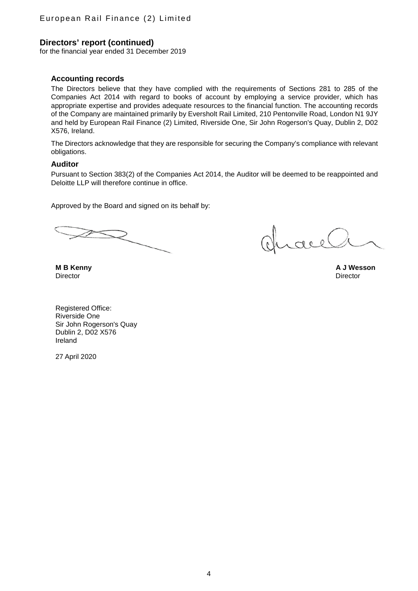## **Directors' report (continued)**

for the financial year ended 31 December 2019

## **Accounting records**

The Directors believe that they have complied with the requirements of Sections 281 to 285 of the Companies Act 2014 with regard to books of account by employing a service provider, which has appropriate expertise and provides adequate resources to the financial function. The accounting records of the Company are maintained primarily by Eversholt Rail Limited, 210 Pentonville Road, London N1 9JY and held by European Rail Finance (2) Limited, Riverside One, Sir John Rogerson's Quay, Dublin 2, D02 X576, Ireland.

The Directors acknowledge that they are responsible for securing the Company's compliance with relevant obligations.

#### **Auditor**

Pursuant to Section 383(2) of the Companies Act 2014, the Auditor will be deemed to be reappointed and Deloitte LLP will therefore continue in office.

Approved by the Board and signed on its behalf by:

Indeel

Director Director

**M B Kenny** A J Wesson **M B Kenny** 

Registered Office: Riverside One Sir John Rogerson's Quay Dublin 2, D02 X576 Ireland

27 April 2020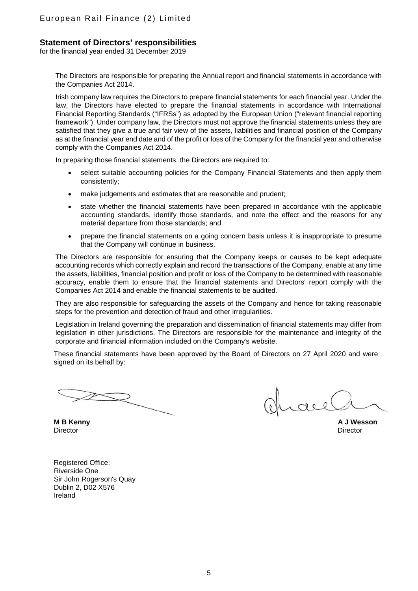## **Statement of Directors' responsibilities**

for the financial year ended 31 December 2019

The Directors are responsible for preparing the Annual report and financial statements in accordance with the Companies Act 2014.

Irish company law requires the Directors to prepare financial statements for each financial year. Under the law, the Directors have elected to prepare the financial statements in accordance with International Financial Reporting Standards ("IFRSs") as adopted by the European Union ("relevant financial reporting framework"). Under company law, the Directors must not approve the financial statements unless they are satisfied that they give a true and fair view of the assets, liabilities and financial position of the Company as at the financial year end date and of the profit or loss of the Company for the financial year and otherwise comply with the Companies Act 2014.

In preparing those financial statements, the Directors are required to:

- select suitable accounting policies for the Company Financial Statements and then apply them consistently;
- make judgements and estimates that are reasonable and prudent;
- state whether the financial statements have been prepared in accordance with the applicable accounting standards, identify those standards, and note the effect and the reasons for any material departure from those standards; and
- prepare the financial statements on a going concern basis unless it is inappropriate to presume that the Company will continue in business.

The Directors are responsible for ensuring that the Company keeps or causes to be kept adequate accounting records which correctly explain and record the transactions of the Company, enable at any time the assets, liabilities, financial position and profit or loss of the Company to be determined with reasonable accuracy, enable them to ensure that the financial statements and Directors' report comply with the Companies Act 2014 and enable the financial statements to be audited.

They are also responsible for safeguarding the assets of the Company and hence for taking reasonable steps for the prevention and detection of fraud and other irregularities.

Legislation in Ireland governing the preparation and dissemination of financial statements may differ from legislation in other jurisdictions. The Directors are responsible for the maintenance and integrity of the corporate and financial information included on the Company's website.

These financial statements have been approved by the Board of Directors on 27 April 2020 and were signed on its behalf by:

**M B Kenny A J Wesson**  Director Director

ndel

Registered Office: Riverside One Sir John Rogerson's Quay Dublin 2, D02 X576 Ireland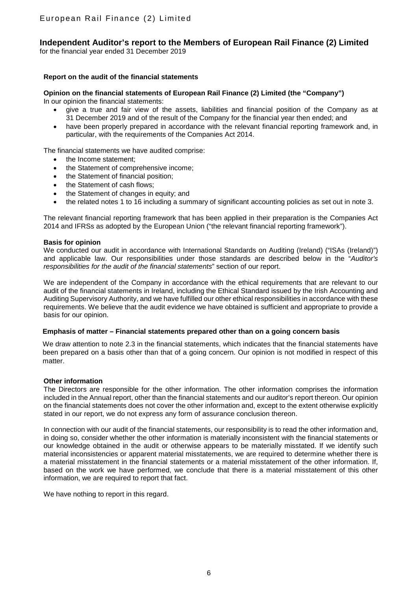## **Independent Auditor's report to the Members of European Rail Finance (2) Limited**

for the financial year ended 31 December 2019

#### **Report on the audit of the financial statements**

#### **Opinion on the financial statements of European Rail Finance (2) Limited (the "Company")**

In our opinion the financial statements:

- give a true and fair view of the assets, liabilities and financial position of the Company as at 31 December 2019 and of the result of the Company for the financial year then ended; and
- have been properly prepared in accordance with the relevant financial reporting framework and, in particular, with the requirements of the Companies Act 2014.

The financial statements we have audited comprise:

- the Income statement:
- the Statement of comprehensive income;
- the Statement of financial position;
- the Statement of cash flows;
- the Statement of changes in equity; and
- the related notes 1 to 16 including a summary of significant accounting policies as set out in note 3.

The relevant financial reporting framework that has been applied in their preparation is the Companies Act 2014 and IFRSs as adopted by the European Union ("the relevant financial reporting framework").

#### **Basis for opinion**

We conducted our audit in accordance with International Standards on Auditing (Ireland) ("ISAs (Ireland)") and applicable law. Our responsibilities under those standards are described below in the "*Auditor's responsibilities for the audit of the financial statements*" section of our report.

We are independent of the Company in accordance with the ethical requirements that are relevant to our audit of the financial statements in Ireland, including the Ethical Standard issued by the Irish Accounting and Auditing Supervisory Authority, and we have fulfilled our other ethical responsibilities in accordance with these requirements. We believe that the audit evidence we have obtained is sufficient and appropriate to provide a basis for our opinion.

#### **Emphasis of matter – Financial statements prepared other than on a going concern basis**

We draw attention to note 2.3 in the financial statements, which indicates that the financial statements have been prepared on a basis other than that of a going concern. Our opinion is not modified in respect of this matter.

#### **Other information**

The Directors are responsible for the other information. The other information comprises the information included in the Annual report, other than the financial statements and our auditor's report thereon. Our opinion on the financial statements does not cover the other information and, except to the extent otherwise explicitly stated in our report, we do not express any form of assurance conclusion thereon.

In connection with our audit of the financial statements, our responsibility is to read the other information and, in doing so, consider whether the other information is materially inconsistent with the financial statements or our knowledge obtained in the audit or otherwise appears to be materially misstated. If we identify such material inconsistencies or apparent material misstatements, we are required to determine whether there is a material misstatement in the financial statements or a material misstatement of the other information. If, based on the work we have performed, we conclude that there is a material misstatement of this other information, we are required to report that fact.

We have nothing to report in this regard.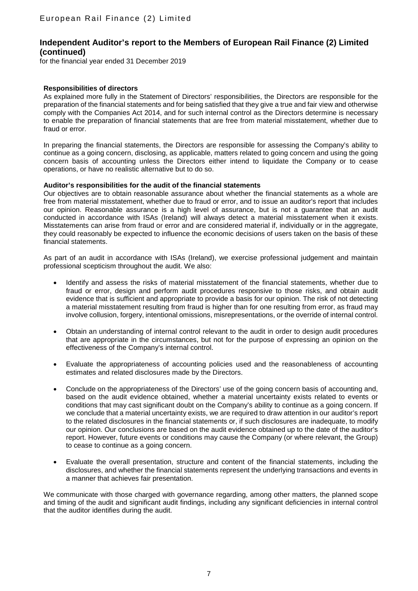## **Independent Auditor's report to the Members of European Rail Finance (2) Limited (continued)**

for the financial year ended 31 December 2019

#### **Responsibilities of directors**

As explained more fully in the Statement of Directors' responsibilities, the Directors are responsible for the preparation of the financial statements and for being satisfied that they give a true and fair view and otherwise comply with the Companies Act 2014, and for such internal control as the Directors determine is necessary to enable the preparation of financial statements that are free from material misstatement, whether due to fraud or error.

In preparing the financial statements, the Directors are responsible for assessing the Company's ability to continue as a going concern, disclosing, as applicable, matters related to going concern and using the going concern basis of accounting unless the Directors either intend to liquidate the Company or to cease operations, or have no realistic alternative but to do so.

#### **Auditor's responsibilities for the audit of the financial statements**

Our objectives are to obtain reasonable assurance about whether the financial statements as a whole are free from material misstatement, whether due to fraud or error, and to issue an auditor's report that includes our opinion. Reasonable assurance is a high level of assurance, but is not a guarantee that an audit conducted in accordance with ISAs (Ireland) will always detect a material misstatement when it exists. Misstatements can arise from fraud or error and are considered material if, individually or in the aggregate, they could reasonably be expected to influence the economic decisions of users taken on the basis of these financial statements.

As part of an audit in accordance with ISAs (Ireland), we exercise professional judgement and maintain professional scepticism throughout the audit. We also:

- Identify and assess the risks of material misstatement of the financial statements, whether due to fraud or error, design and perform audit procedures responsive to those risks, and obtain audit evidence that is sufficient and appropriate to provide a basis for our opinion. The risk of not detecting a material misstatement resulting from fraud is higher than for one resulting from error, as fraud may involve collusion, forgery, intentional omissions, misrepresentations, or the override of internal control.
- Obtain an understanding of internal control relevant to the audit in order to design audit procedures that are appropriate in the circumstances, but not for the purpose of expressing an opinion on the effectiveness of the Company's internal control.
- Evaluate the appropriateness of accounting policies used and the reasonableness of accounting estimates and related disclosures made by the Directors.
- Conclude on the appropriateness of the Directors' use of the going concern basis of accounting and, based on the audit evidence obtained, whether a material uncertainty exists related to events or conditions that may cast significant doubt on the Company's ability to continue as a going concern. If we conclude that a material uncertainty exists, we are required to draw attention in our auditor's report to the related disclosures in the financial statements or, if such disclosures are inadequate, to modify our opinion. Our conclusions are based on the audit evidence obtained up to the date of the auditor's report. However, future events or conditions may cause the Company (or where relevant, the Group) to cease to continue as a going concern.
- Evaluate the overall presentation, structure and content of the financial statements, including the disclosures, and whether the financial statements represent the underlying transactions and events in a manner that achieves fair presentation.

We communicate with those charged with governance regarding, among other matters, the planned scope and timing of the audit and significant audit findings, including any significant deficiencies in internal control that the auditor identifies during the audit.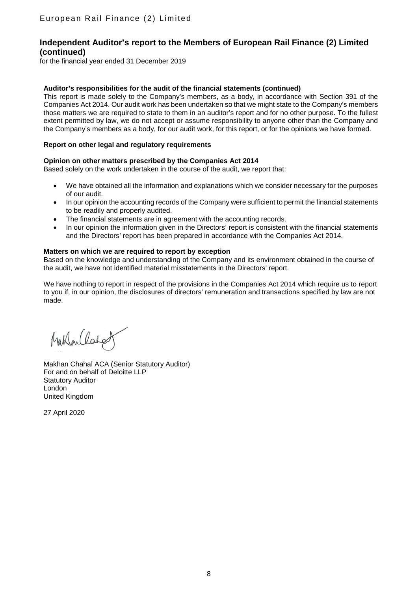## **Independent Auditor's report to the Members of European Rail Finance (2) Limited (continued)**

for the financial year ended 31 December 2019

## **Auditor's responsibilities for the audit of the financial statements (continued)**

This report is made solely to the Company's members, as a body, in accordance with Section 391 of the Companies Act 2014. Our audit work has been undertaken so that we might state to the Company's members those matters we are required to state to them in an auditor's report and for no other purpose. To the fullest extent permitted by law, we do not accept or assume responsibility to anyone other than the Company and the Company's members as a body, for our audit work, for this report, or for the opinions we have formed.

## **Report on other legal and regulatory requirements**

#### **Opinion on other matters prescribed by the Companies Act 2014**

Based solely on the work undertaken in the course of the audit, we report that:

- We have obtained all the information and explanations which we consider necessary for the purposes of our audit.
- In our opinion the accounting records of the Company were sufficient to permit the financial statements to be readily and properly audited.
- The financial statements are in agreement with the accounting records.
- In our opinion the information given in the Directors' report is consistent with the financial statements and the Directors' report has been prepared in accordance with the Companies Act 2014.

#### **Matters on which we are required to report by exception**

Based on the knowledge and understanding of the Company and its environment obtained in the course of the audit, we have not identified material misstatements in the Directors' report.

We have nothing to report in respect of the provisions in the Companies Act 2014 which require us to report to you if, in our opinion, the disclosures of directors' remuneration and transactions specified by law are not made.

Maklon Clarest

Makhan Chahal ACA (Senior Statutory Auditor) For and on behalf of Deloitte LLP Statutory Auditor London United Kingdom

27 April 2020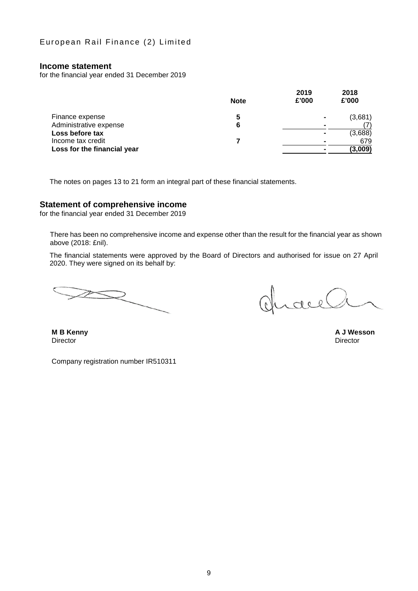## European Rail Finance (2) Limited

## **Income statement**

for the financial year ended 31 December 2019

|                             | <b>Note</b> | 2019<br>£'000 | 2018<br>£'000 |
|-----------------------------|-------------|---------------|---------------|
| Finance expense             | 5           | -             | (3,681)       |
| Administrative expense      | 6           | ٠             |               |
| Loss before tax             |             | -             | (3,688)       |
| Income tax credit           |             | ٠             | 679           |
| Loss for the financial year |             |               | (3,009)       |

The notes on pages 13 to 21 form an integral part of these financial statements.

## **Statement of comprehensive income**

for the financial year ended 31 December 2019

There has been no comprehensive income and expense other than the result for the financial year as shown above (2018: £nil).

The financial statements were approved by the Board of Directors and authorised for issue on 27 April 2020. They were signed on its behalf by:

 $\mathbb{Z}^{\!\times}$ 

Indee

**M B Kenny A J Wesson** Director Director

Company registration number IR510311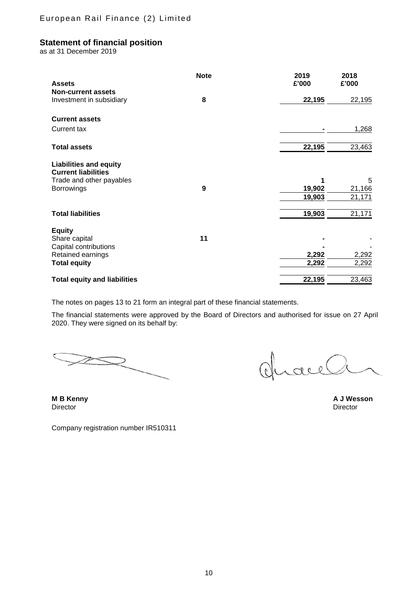## **Statement of financial position**

as at 31 December 2019

|                                                             | <b>Note</b> | 2019   | 2018   |
|-------------------------------------------------------------|-------------|--------|--------|
| <b>Assets</b>                                               |             | £'000  | £'000  |
| <b>Non-current assets</b>                                   |             |        |        |
| Investment in subsidiary                                    | 8           | 22,195 | 22,195 |
| <b>Current assets</b>                                       |             |        |        |
| Current tax                                                 |             |        | 1,268  |
| <b>Total assets</b>                                         |             | 22,195 | 23,463 |
|                                                             |             |        |        |
| <b>Liabilities and equity</b><br><b>Current liabilities</b> |             |        |        |
| Trade and other payables                                    |             | 1      | 5      |
| <b>Borrowings</b>                                           | 9           | 19,902 | 21,166 |
|                                                             |             | 19,903 | 21,171 |
| <b>Total liabilities</b>                                    |             | 19,903 | 21,171 |
|                                                             |             |        |        |
| <b>Equity</b>                                               |             |        |        |
| Share capital                                               | 11          |        |        |
| Capital contributions                                       |             |        |        |
| Retained earnings                                           |             | 2,292  | 2,292  |
| <b>Total equity</b>                                         |             | 2,292  | 2,292  |
| <b>Total equity and liabilities</b>                         |             | 22,195 | 23,463 |

The notes on pages 13 to 21 form an integral part of these financial statements.

The financial statements were approved by the Board of Directors and authorised for issue on 27 April 2020. They were signed on its behalf by:

chard

Director Director

**M B Kenny A J Wesson**<br>Director **A J Wesson** 

Company registration number IR510311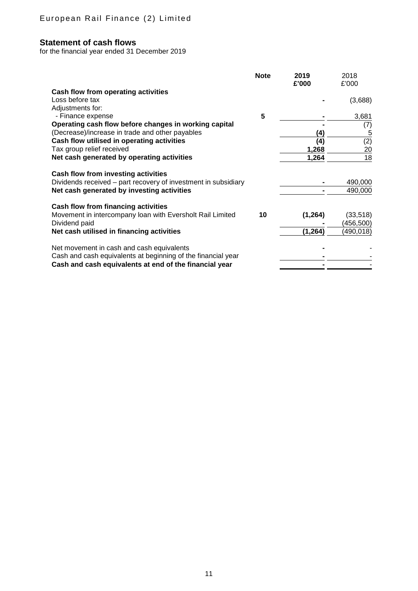## **Statement of cash flows**

for the financial year ended 31 December 2019

|                                                                                                       | <b>Note</b> | 2019<br>£'000 | 2018<br>£'000     |
|-------------------------------------------------------------------------------------------------------|-------------|---------------|-------------------|
| Cash flow from operating activities                                                                   |             |               |                   |
| Loss before tax                                                                                       |             |               | (3,688)           |
| Adjustments for:                                                                                      |             |               |                   |
| - Finance expense                                                                                     | 5           |               | 3,681             |
| Operating cash flow before changes in working capital                                                 |             |               | $\left( 7\right)$ |
| (Decrease)/increase in trade and other payables                                                       |             | (4)           | 5                 |
| Cash flow utilised in operating activities                                                            |             | (4)           | (2)               |
| Tax group relief received                                                                             |             | 1,268         | 20                |
| Net cash generated by operating activities                                                            |             | 1,264         | 18                |
| Cash flow from investing activities<br>Dividends received – part recovery of investment in subsidiary |             |               | 490,000           |
| Net cash generated by investing activities                                                            |             |               | 490,000           |
| Cash flow from financing activities                                                                   |             |               |                   |
| Movement in intercompany loan with Eversholt Rail Limited                                             | 10          | (1, 264)      | (33,518)          |
| Dividend paid                                                                                         |             |               | (456,500)         |
| Net cash utilised in financing activities                                                             |             | (1, 264)      | (490,018)         |
| Net movement in cash and cash equivalents                                                             |             |               |                   |
| Cash and cash equivalents at beginning of the financial year                                          |             |               |                   |
| Cash and cash equivalents at end of the financial year                                                |             |               |                   |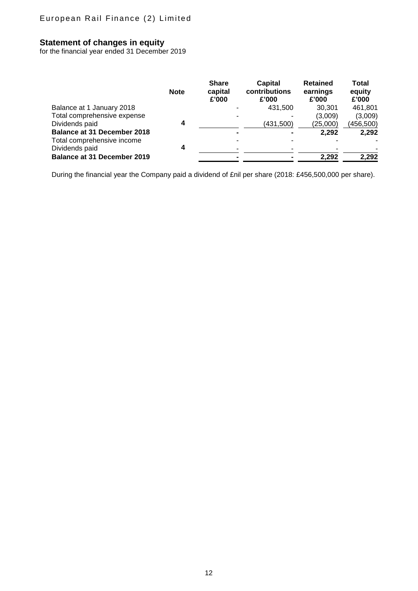## **Statement of changes in equity**

for the financial year ended 31 December 2019

|                                    | <b>Note</b> | <b>Share</b><br>capital<br>£'000 | <b>Capital</b><br>contributions<br>£'000 | <b>Retained</b><br>earnings<br>£'000 | Total<br>equity<br>£'000 |
|------------------------------------|-------------|----------------------------------|------------------------------------------|--------------------------------------|--------------------------|
| Balance at 1 January 2018          |             |                                  | 431.500                                  | 30,301                               | 461,801                  |
| Total comprehensive expense        |             |                                  |                                          | (3,009)                              | (3,009)                  |
| Dividends paid                     | 4           |                                  | (431,500)                                | (25,000)                             | (456,500)                |
| <b>Balance at 31 December 2018</b> |             | $\blacksquare$                   |                                          | 2,292                                | 2,292                    |
| Total comprehensive income         |             |                                  |                                          |                                      |                          |
| Dividends paid                     | 4           |                                  |                                          |                                      |                          |
| <b>Balance at 31 December 2019</b> |             | $\blacksquare$                   |                                          | 2,292                                | 2,292                    |

During the financial year the Company paid a dividend of £nil per share (2018: £456,500,000 per share).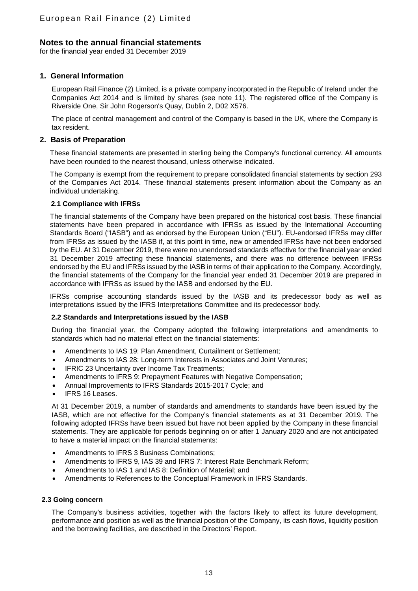## **Notes to the annual financial statements**

for the financial year ended 31 December 2019

## **1. General Information**

European Rail Finance (2) Limited, is a private company incorporated in the Republic of Ireland under the Companies Act 2014 and is limited by shares (see note 11). The registered office of the Company is Riverside One, Sir John Rogerson's Quay, Dublin 2, D02 X576.

The place of central management and control of the Company is based in the UK, where the Company is tax resident.

## **2. Basis of Preparation**

These financial statements are presented in sterling being the Company's functional currency. All amounts have been rounded to the nearest thousand, unless otherwise indicated.

The Company is exempt from the requirement to prepare consolidated financial statements by section 293 of the Companies Act 2014. These financial statements present information about the Company as an individual undertaking.

#### i**2.1 Compliance with IFRSs**

The financial statements of the Company have been prepared on the historical cost basis. These financial statements have been prepared in accordance with IFRSs as issued by the International Accounting Standards Board ("IASB") and as endorsed by the European Union ("EU"). EU-endorsed IFRSs may differ from IFRSs as issued by the IASB if, at this point in time, new or amended IFRSs have not been endorsed by the EU. At 31 December 2019, there were no unendorsed standards effective for the financial year ended 31 December 2019 affecting these financial statements, and there was no difference between IFRSs endorsed by the EU and IFRSs issued by the IASB in terms of their application to the Company. Accordingly, the financial statements of the Company for the financial year ended 31 December 2019 are prepared in accordance with IFRSs as issued by the IASB and endorsed by the EU.

IFRSs comprise accounting standards issued by the IASB and its predecessor body as well as interpretations issued by the IFRS Interpretations Committee and its predecessor body.

#### **2.2 Standards and Interpretations issued by the IASB**

During the financial year, the Company adopted the following interpretations and amendments to standards which had no material effect on the financial statements:

- Amendments to IAS 19: Plan Amendment, Curtailment or Settlement;
- Amendments to IAS 28: Long-term Interests in Associates and Joint Ventures;
- IFRIC 23 Uncertainty over Income Tax Treatments;
- Amendments to IFRS 9: Prepayment Features with Negative Compensation;
- Annual Improvements to IFRS Standards 2015-2017 Cycle; and
- IFRS 16 Leases.

At 31 December 2019, a number of standards and amendments to standards have been issued by the IASB, which are not effective for the Company's financial statements as at 31 December 2019. The following adopted IFRSs have been issued but have not been applied by the Company in these financial statements. They are applicable for periods beginning on or after 1 January 2020 and are not anticipated to have a material impact on the financial statements:

- Amendments to IFRS 3 Business Combinations;
- Amendments to IFRS 9, IAS 39 and IFRS 7: Interest Rate Benchmark Reform;
- Amendments to IAS 1 and IAS 8: Definition of Material; and
- Amendments to References to the Conceptual Framework in IFRS Standards.

#### **2.3 Going concern**

The Company's business activities, together with the factors likely to affect its future development, performance and position as well as the financial position of the Company, its cash flows, liquidity position and the borrowing facilities, are described in the Directors' Report.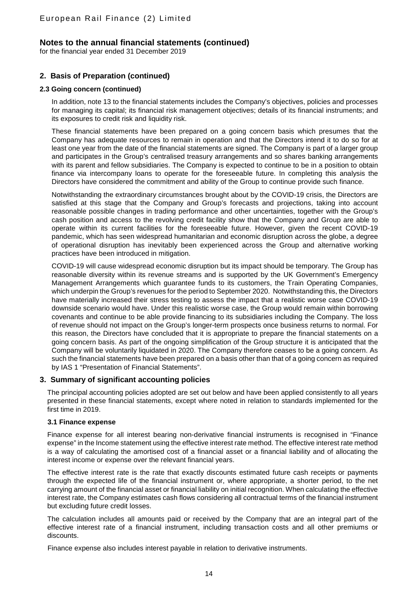for the financial year ended 31 December 2019

## **2. Basis of Preparation (continued)**

#### **2.3 Going concern (continued)**

In addition, note 13 to the financial statements includes the Company's objectives, policies and processes for managing its capital; its financial risk management objectives; details of its financial instruments; and its exposures to credit risk and liquidity risk.

These financial statements have been prepared on a going concern basis which presumes that the Company has adequate resources to remain in operation and that the Directors intend it to do so for at least one year from the date of the financial statements are signed. The Company is part of a larger group and participates in the Group's centralised treasury arrangements and so shares banking arrangements with its parent and fellow subsidiaries. The Company is expected to continue to be in a position to obtain finance via intercompany loans to operate for the foreseeable future. In completing this analysis the Directors have considered the commitment and ability of the Group to continue provide such finance.

Notwithstanding the extraordinary circumstances brought about by the COVID-19 crisis, the Directors are satisfied at this stage that the Company and Group's forecasts and projections, taking into account reasonable possible changes in trading performance and other uncertainties, together with the Group's cash position and access to the revolving credit facility show that the Company and Group are able to operate within its current facilities for the foreseeable future. However, given the recent COVID-19 pandemic, which has seen widespread humanitarian and economic disruption across the globe, a degree of operational disruption has inevitably been experienced across the Group and alternative working practices have been introduced in mitigation.

COVID-19 will cause widespread economic disruption but its impact should be temporary. The Group has reasonable diversity within its revenue streams and is supported by the UK Government's Emergency Management Arrangements which guarantee funds to its customers, the Train Operating Companies, which underpin the Group's revenues for the period to September 2020. Notwithstanding this, the Directors have materially increased their stress testing to assess the impact that a realistic worse case COVID-19 downside scenario would have. Under this realistic worse case, the Group would remain within borrowing covenants and continue to be able provide financing to its subsidiaries including the Company. The loss of revenue should not impact on the Group's longer-term prospects once business returns to normal. For this reason, the Directors have concluded that it is appropriate to prepare the financial statements on a going concern basis. As part of the ongoing simplification of the Group structure it is anticipated that the Company will be voluntarily liquidated in 2020. The Company therefore ceases to be a going concern. As such the financial statements have been prepared on a basis other than that of a going concern as required by IAS 1 "Presentation of Financial Statements".

## **3. Summary of significant accounting policies**

The principal accounting policies adopted are set out below and have been applied consistently to all years presented in these financial statements, except where noted in relation to standards implemented for the first time in 2019.

## **3.1 Finance expense**

Finance expense for all interest bearing non-derivative financial instruments is recognised in "Finance expense" in the Income statement using the effective interest rate method. The effective interest rate method is a way of calculating the amortised cost of a financial asset or a financial liability and of allocating the interest income or expense over the relevant financial years.

The effective interest rate is the rate that exactly discounts estimated future cash receipts or payments through the expected life of the financial instrument or, where appropriate, a shorter period, to the net carrying amount of the financial asset or financial liability on initial recognition. When calculating the effective interest rate, the Company estimates cash flows considering all contractual terms of the financial instrument but excluding future credit losses.

The calculation includes all amounts paid or received by the Company that are an integral part of the effective interest rate of a financial instrument, including transaction costs and all other premiums or discounts.

Finance expense also includes interest payable in relation to derivative instruments.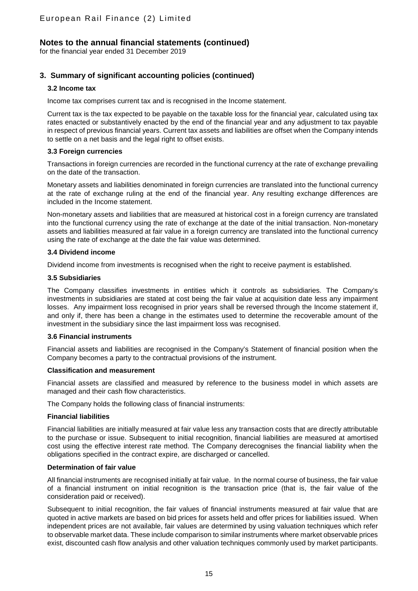for the financial year ended 31 December 2019

## **3. Summary of significant accounting policies (continued)**

#### **3.2 Income tax**

Income tax comprises current tax and is recognised in the Income statement.

Current tax is the tax expected to be payable on the taxable loss for the financial year, calculated using tax rates enacted or substantively enacted by the end of the financial year and any adjustment to tax payable in respect of previous financial years. Current tax assets and liabilities are offset when the Company intends to settle on a net basis and the legal right to offset exists.

#### **3.3 Foreign currencies**

Transactions in foreign currencies are recorded in the functional currency at the rate of exchange prevailing on the date of the transaction.

Monetary assets and liabilities denominated in foreign currencies are translated into the functional currency at the rate of exchange ruling at the end of the financial year. Any resulting exchange differences are included in the Income statement.

Non-monetary assets and liabilities that are measured at historical cost in a foreign currency are translated into the functional currency using the rate of exchange at the date of the initial transaction. Non-monetary assets and liabilities measured at fair value in a foreign currency are translated into the functional currency using the rate of exchange at the date the fair value was determined.

#### **3.4 Dividend income**

Dividend income from investments is recognised when the right to receive payment is established.

#### **3.5 Subsidiaries**

The Company classifies investments in entities which it controls as subsidiaries. The Company's investments in subsidiaries are stated at cost being the fair value at acquisition date less any impairment losses. Any impairment loss recognised in prior years shall be reversed through the Income statement if, and only if, there has been a change in the estimates used to determine the recoverable amount of the investment in the subsidiary since the last impairment loss was recognised.

#### **3.6 Financial instruments**

Financial assets and liabilities are recognised in the Company's Statement of financial position when the Company becomes a party to the contractual provisions of the instrument.

#### **Classification and measurement**

Financial assets are classified and measured by reference to the business model in which assets are managed and their cash flow characteristics.

The Company holds the following class of financial instruments:

#### **Financial liabilities**

Financial liabilities are initially measured at fair value less any transaction costs that are directly attributable to the purchase or issue. Subsequent to initial recognition, financial liabilities are measured at amortised cost using the effective interest rate method. The Company derecognises the financial liability when the obligations specified in the contract expire, are discharged or cancelled.

#### **Determination of fair value**

All financial instruments are recognised initially at fair value. In the normal course of business, the fair value of a financial instrument on initial recognition is the transaction price (that is, the fair value of the consideration paid or received).

Subsequent to initial recognition, the fair values of financial instruments measured at fair value that are quoted in active markets are based on bid prices for assets held and offer prices for liabilities issued. When independent prices are not available, fair values are determined by using valuation techniques which refer to observable market data. These include comparison to similar instruments where market observable prices exist, discounted cash flow analysis and other valuation techniques commonly used by market participants.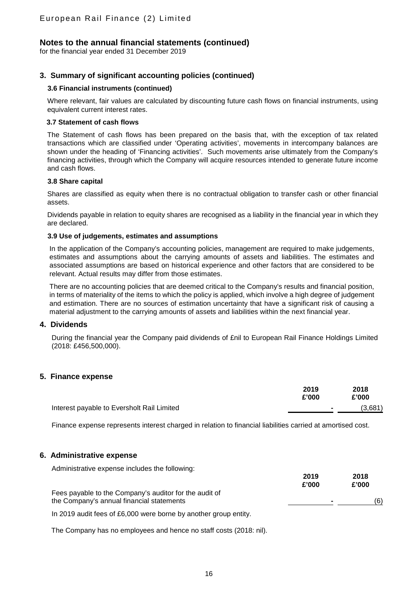for the financial year ended 31 December 2019

## **3. Summary of significant accounting policies (continued)**

#### **3.6 Financial instruments (continued)**

Where relevant, fair values are calculated by discounting future cash flows on financial instruments, using equivalent current interest rates.

#### **3.7 Statement of cash flows**

The Statement of cash flows has been prepared on the basis that, with the exception of tax related transactions which are classified under 'Operating activities', movements in intercompany balances are shown under the heading of 'Financing activities'. Such movements arise ultimately from the Company's financing activities, through which the Company will acquire resources intended to generate future income and cash flows.

#### **3.8 Share capital**

Shares are classified as equity when there is no contractual obligation to transfer cash or other financial assets.

Dividends payable in relation to equity shares are recognised as a liability in the financial year in which they are declared.

#### **3.9 Use of judgements, estimates and assumptions**

In the application of the Company's accounting policies, management are required to make judgements, estimates and assumptions about the carrying amounts of assets and liabilities. The estimates and associated assumptions are based on historical experience and other factors that are considered to be relevant. Actual results may differ from those estimates.

There are no accounting policies that are deemed critical to the Company's results and financial position, in terms of materiality of the items to which the policy is applied, which involve a high degree of judgement and estimation. There are no sources of estimation uncertainty that have a significant risk of causing a material adjustment to the carrying amounts of assets and liabilities within the next financial year.

## **4. Dividends**

During the financial year the Company paid dividends of £nil to European Rail Finance Holdings Limited (2018: £456,500,000).

## **5. Finance expense**

|                                            | 2019<br>£'000 | 2018<br>£'000 |
|--------------------------------------------|---------------|---------------|
| Interest payable to Eversholt Rail Limited |               | (3,681)       |

Finance expense represents interest charged in relation to financial liabilities carried at amortised cost.

## **6. Administrative expense**

Administrative expense includes the following: **2019 2018 £'000 £'000**  Fees payable to the Company's auditor for the audit of the Company's annual financial statements **-** (6)

In 2019 audit fees of £6,000 were borne by another group entity.

The Company has no employees and hence no staff costs (2018: nil).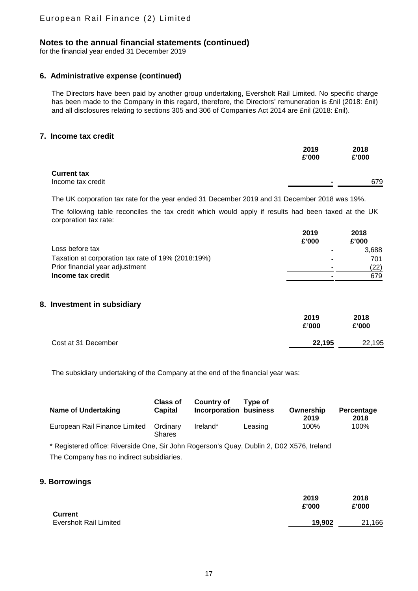for the financial year ended 31 December 2019

## **6. Administrative expense (continued)**

The Directors have been paid by another group undertaking, Eversholt Rail Limited. No specific charge has been made to the Company in this regard, therefore, the Directors' remuneration is £nil (2018: £nil) and all disclosures relating to sections 305 and 306 of Companies Act 2014 are £nil (2018: £nil).

## **7. Income tax credit**

|                                         | 2019<br>£'000  | 2018<br>£'000 |
|-----------------------------------------|----------------|---------------|
| <b>Current tax</b><br>Income tax credit | $\blacksquare$ | 679           |

The UK corporation tax rate for the year ended 31 December 2019 and 31 December 2018 was 19%.

The following table reconciles the tax credit which would apply if results had been taxed at the UK corporation tax rate:

|                                                    | 2019  | 2018  |
|----------------------------------------------------|-------|-------|
|                                                    | £'000 | £'000 |
| Loss before tax                                    |       | 3.688 |
| Taxation at corporation tax rate of 19% (2018:19%) |       | 701   |
| Prior financial year adjustment                    |       | (22)  |
| Income tax credit                                  |       | 679   |

## **8. Investment in subsidiary**

|                     | 2019<br>£'000 | 2018<br>£'000 |
|---------------------|---------------|---------------|
| Cost at 31 December | 22,195        | 22,195        |

The subsidiary undertaking of the Company at the end of the financial year was:

| <b>Name of Undertaking</b>                                                                | <b>Class of</b><br><b>Capital</b> | <b>Country of</b><br><b>Incorporation business</b> | Tvpe of | Ownership<br>2019 | Percentage<br>2018 |
|-------------------------------------------------------------------------------------------|-----------------------------------|----------------------------------------------------|---------|-------------------|--------------------|
| European Rail Finance Limited                                                             | Ordinary<br><b>Shares</b>         | Ireland*                                           | Leasing | 100%              | 100%               |
| * Registered office: Riverside One, Sir John Rogerson's Quay, Dublin 2, D02 X576, Ireland |                                   |                                                    |         |                   |                    |
| The Company has no indirect subsidiaries.                                                 |                                   |                                                    |         |                   |                    |

## **9. Borrowings**

|                                          | 2019<br>£'000 | 2018<br>£'000 |
|------------------------------------------|---------------|---------------|
| <b>Current</b><br>Eversholt Rail Limited | 19,902        | 21,166        |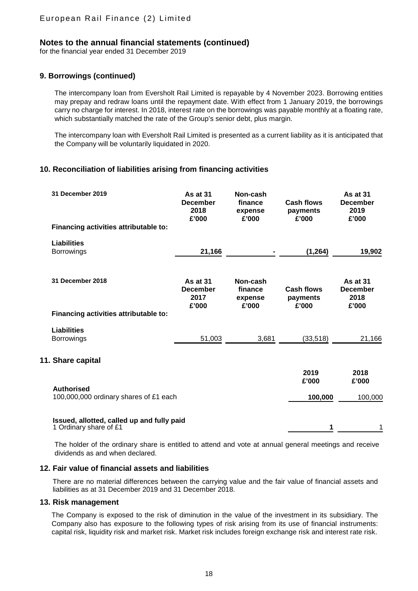for the financial year ended 31 December 2019

## **9. Borrowings (continued)**

The intercompany loan from Eversholt Rail Limited is repayable by 4 November 2023. Borrowing entities may prepay and redraw loans until the repayment date. With effect from 1 January 2019, the borrowings carry no charge for interest. In 2018, interest rate on the borrowings was payable monthly at a floating rate, which substantially matched the rate of the Group's senior debt, plus margin.

The intercompany loan with Eversholt Rail Limited is presented as a current liability as it is anticipated that the Company will be voluntarily liquidated in 2020.

## **10. Reconciliation of liabilities arising from financing activities**

| 31 December 2019<br>Financing activities attributable to: | <b>As at 31</b><br><b>December</b><br>2018<br>£'000 | Non-cash<br>finance<br>expense<br>£'000 | Cash flows<br>payments<br>£'000 | <b>As at 31</b><br><b>December</b><br>2019<br>£'000 |
|-----------------------------------------------------------|-----------------------------------------------------|-----------------------------------------|---------------------------------|-----------------------------------------------------|
|                                                           |                                                     |                                         |                                 |                                                     |
| <b>Liabilities</b><br><b>Borrowings</b>                   | 21,166                                              |                                         | (1, 264)                        | 19,902                                              |
| 31 December 2018                                          | <b>As at 31</b><br><b>December</b><br>2017<br>£'000 | Non-cash<br>finance<br>expense<br>£'000 | Cash flows<br>payments<br>£'000 | <b>As at 31</b><br><b>December</b><br>2018<br>£'000 |
| Financing activities attributable to:                     |                                                     |                                         |                                 |                                                     |
| <b>Liabilities</b>                                        |                                                     |                                         |                                 |                                                     |
| <b>Borrowings</b>                                         | 51,003                                              | 3,681                                   | (33, 518)                       | 21,166                                              |
| 11. Share capital                                         |                                                     |                                         |                                 |                                                     |
| <b>Authorised</b>                                         |                                                     |                                         | 2019<br>£'000                   | 2018<br>£'000                                       |
| 100,000,000 ordinary shares of £1 each                    |                                                     |                                         | 100,000                         | 100,000                                             |
| Issued, allotted, called up and fully paid                |                                                     |                                         |                                 |                                                     |
| 1 Ordinary share of £1                                    |                                                     |                                         | 1                               | 1                                                   |

The holder of the ordinary share is entitled to attend and vote at annual general meetings and receive dividends as and when declared.

## **12. Fair value of financial assets and liabilities**

There are no material differences between the carrying value and the fair value of financial assets and liabilities as at 31 December 2019 and 31 December 2018.

#### **13. Risk management**

The Company is exposed to the risk of diminution in the value of the investment in its subsidiary. The Company also has exposure to the following types of risk arising from its use of financial instruments: capital risk, liquidity risk and market risk. Market risk includes foreign exchange risk and interest rate risk.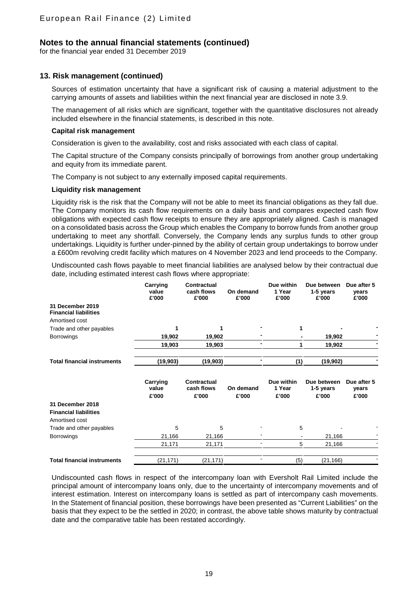for the financial year ended 31 December 2019

#### **13. Risk management (continued)**

Sources of estimation uncertainty that have a significant risk of causing a material adjustment to the carrying amounts of assets and liabilities within the next financial year are disclosed in note 3.9.

The management of all risks which are significant, together with the quantitative disclosures not already included elsewhere in the financial statements, is described in this note.

#### **Capital risk management**

Consideration is given to the availability, cost and risks associated with each class of capital.

The Capital structure of the Company consists principally of borrowings from another group undertaking and equity from its immediate parent.

The Company is not subject to any externally imposed capital requirements.

#### **Liquidity risk management**

Liquidity risk is the risk that the Company will not be able to meet its financial obligations as they fall due. The Company monitors its cash flow requirements on a daily basis and compares expected cash flow obligations with expected cash flow receipts to ensure they are appropriately aligned. Cash is managed on a consolidated basis across the Group which enables the Company to borrow funds from another group undertaking to meet any shortfall. Conversely, the Company lends any surplus funds to other group undertakings. Liquidity is further under-pinned by the ability of certain group undertakings to borrow under a £600m revolving credit facility which matures on 4 November 2023 and lend proceeds to the Company.

Undiscounted cash flows payable to meet financial liabilities are analysed below by their contractual due date, including estimated interest cash flows where appropriate:

|                                                  | Carrying<br>value<br>£'000 | Contractual<br>cash flows<br>£'000 | On demand<br>£'000 | Due within<br>1 Year<br>£'000 | Due between<br>1-5 years<br>£'000 | Due after 5<br>vears<br>£'000 |
|--------------------------------------------------|----------------------------|------------------------------------|--------------------|-------------------------------|-----------------------------------|-------------------------------|
| 31 December 2019<br><b>Financial liabilities</b> |                            |                                    |                    |                               |                                   |                               |
| Amortised cost                                   |                            |                                    |                    |                               |                                   |                               |
| Trade and other payables                         |                            |                                    |                    |                               |                                   |                               |
| Borrowings                                       | 19,902                     | 19,902                             |                    |                               | 19,902                            |                               |
|                                                  | 19,903                     | 19,903                             |                    |                               | 19,902                            |                               |
| <b>Total financial instruments</b>               | (19,903)                   | (19,903)                           |                    | (1)                           | (19,902)                          |                               |
|                                                  | Carrying<br>value<br>£'000 | Contractual<br>cash flows<br>£'000 | On demand<br>£'000 | Due within<br>1 Year<br>£'000 | Due between<br>1-5 years<br>£'000 | Due after 5<br>years<br>£'000 |
| 31 December 2018                                 |                            |                                    |                    |                               |                                   |                               |
| <b>Financial liabilities</b>                     |                            |                                    |                    |                               |                                   |                               |
| Amortised cost                                   |                            |                                    |                    |                               |                                   |                               |
| Trade and other payables                         | 5                          | 5                                  |                    | 5                             |                                   |                               |
| <b>Borrowings</b>                                | 21,166                     | 21,166                             |                    |                               | 21,166                            |                               |
|                                                  | 21,171                     | 21,171                             | ۰                  | 5                             | 21,166                            |                               |
| <b>Total financial instruments</b>               | (21,171)                   | (21, 171)                          |                    | (5)                           | (21, 166)                         |                               |

Undiscounted cash flows in respect of the intercompany loan with Eversholt Rail Limited include the principal amount of intercompany loans only, due to the uncertainty of intercompany movements and of interest estimation. Interest on intercompany loans is settled as part of intercompany cash movements. In the Statement of financial position, these borrowings have been presented as "Current Liabilities" on the basis that they expect to be the settled in 2020; in contrast, the above table shows maturity by contractual date and the comparative table has been restated accordingly.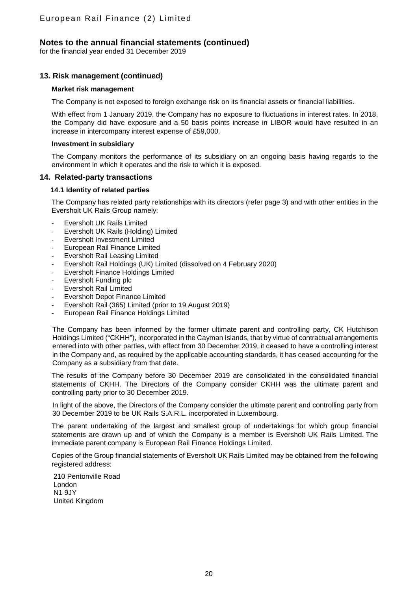for the financial year ended 31 December 2019

## **13. Risk management (continued)**

#### **Market risk management**

The Company is not exposed to foreign exchange risk on its financial assets or financial liabilities.

With effect from 1 January 2019, the Company has no exposure to fluctuations in interest rates. In 2018, the Company did have exposure and a 50 basis points increase in LIBOR would have resulted in an increase in intercompany interest expense of £59,000.

#### **Investment in subsidiary**

The Company monitors the performance of its subsidiary on an ongoing basis having regards to the environment in which it operates and the risk to which it is exposed.

#### **14. Related-party transactions**

#### **14.1 Identity of related parties**

The Company has related party relationships with its directors (refer page 3) and with other entities in the Eversholt UK Rails Group namely:

- Eversholt UK Rails Limited
- Eversholt UK Rails (Holding) Limited
- Eversholt Investment Limited
- European Rail Finance Limited
- Eversholt Rail Leasing Limited
- Eversholt Rail Holdings (UK) Limited (dissolved on 4 February 2020)
- Eversholt Finance Holdings Limited
- Eversholt Funding plc
- Eversholt Rail Limited
- Eversholt Depot Finance Limited
- Eversholt Rail (365) Limited (prior to 19 August 2019)
- European Rail Finance Holdings Limited

The Company has been informed by the former ultimate parent and controlling party, CK Hutchison Holdings Limited ("CKHH"), incorporated in the Cayman Islands, that by virtue of contractual arrangements entered into with other parties, with effect from 30 December 2019, it ceased to have a controlling interest in the Company and, as required by the applicable accounting standards, it has ceased accounting for the Company as a subsidiary from that date.

The results of the Company before 30 December 2019 are consolidated in the consolidated financial statements of CKHH. The Directors of the Company consider CKHH was the ultimate parent and controlling party prior to 30 December 2019.

In light of the above, the Directors of the Company consider the ultimate parent and controlling party from 30 December 2019 to be UK Rails S.A.R.L. incorporated in Luxembourg.

The parent undertaking of the largest and smallest group of undertakings for which group financial statements are drawn up and of which the Company is a member is Eversholt UK Rails Limited. The immediate parent company is European Rail Finance Holdings Limited.

Copies of the Group financial statements of Eversholt UK Rails Limited may be obtained from the following registered address:

210 Pentonville Road London N1 9JY United Kingdom